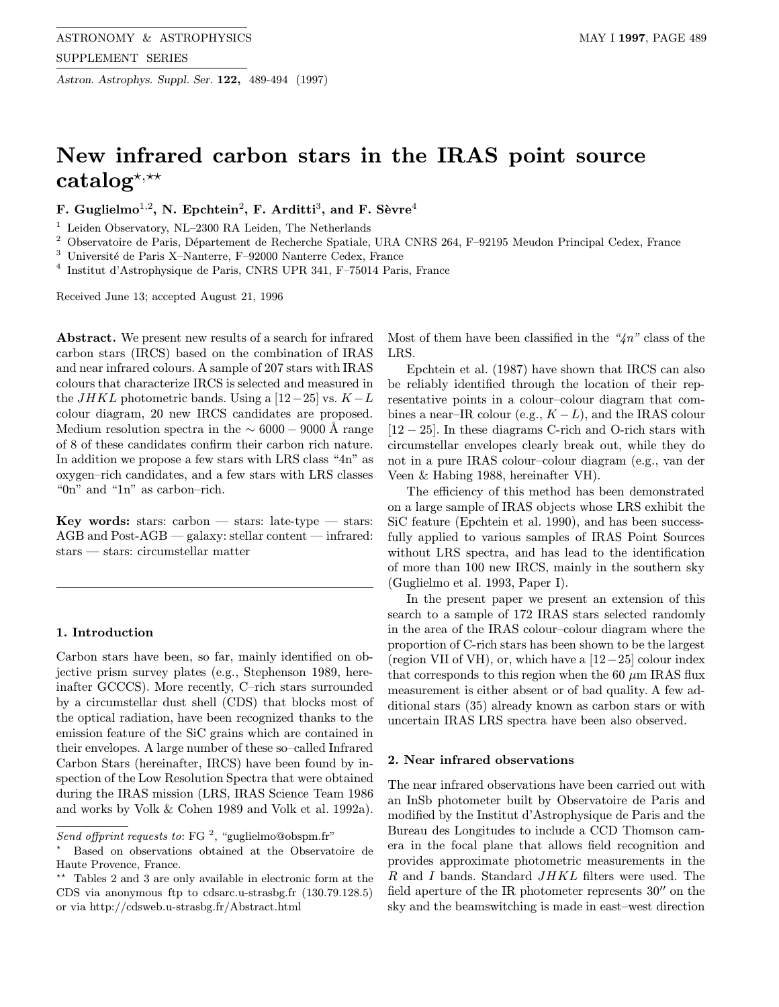Astron. Astrophys. Suppl. Ser. 122, 489-494 (1997)

# New infrared carbon stars in the IRAS point source catalog<sup>\*,\*\*</sup>

F. Guglielmo<sup>1,2</sup>, N. Epchtein<sup>2</sup>, F. Arditti<sup>3</sup>, and F. Sèvre<sup>4</sup>

 $1$  Leiden Observatory, NL–2300 RA Leiden, The Netherlands

<sup>2</sup> Observatoire de Paris, Département de Recherche Spatiale, URA CNRS 264, F-92195 Meudon Principal Cedex, France

 $3$  Université de Paris X–Nanterre, F–92000 Nanterre Cedex, France

<sup>4</sup> Institut d'Astrophysique de Paris, CNRS UPR 341, F–75014 Paris, France

Received June 13; accepted August 21, 1996

Abstract. We present new results of a search for infrared carbon stars (IRCS) based on the combination of IRAS and near infrared colours. A sample of 207 stars with IRAS colours that characterize IRCS is selected and measured in the  $JHKL$  photometric bands. Using a [12−25] vs.  $K - L$ colour diagram, 20 new IRCS candidates are proposed. Medium resolution spectra in the  $\sim 6000 - 9000$  Å range of 8 of these candidates confirm their carbon rich nature. In addition we propose a few stars with LRS class "4n" as oxygen–rich candidates, and a few stars with LRS classes "0n" and "1n" as carbon–rich.

**Key words:** stars: carbon  $-$  stars: late-type  $-$  stars: AGB and Post-AGB — galaxy: stellar content — infrared: stars — stars: circumstellar matter

### 1. Introduction

Carbon stars have been, so far, mainly identified on objective prism survey plates (e.g., Stephenson 1989, hereinafter GCCCS). More recently, C–rich stars surrounded by a circumstellar dust shell (CDS) that blocks most of the optical radiation, have been recognized thanks to the emission feature of the SiC grains which are contained in their envelopes. A large number of these so–called Infrared Carbon Stars (hereinafter, IRCS) have been found by inspection of the Low Resolution Spectra that were obtained during the IRAS mission (LRS, IRAS Science Team 1986 and works by Volk & Cohen 1989 and Volk et al. 1992a). Most of them have been classified in the " $4n$ " class of the LRS.

Epchtein et al. (1987) have shown that IRCS can also be reliably identified through the location of their representative points in a colour–colour diagram that combines a near–IR colour (e.g.,  $K - L$ ), and the IRAS colour [12 − 25]. In these diagrams C-rich and O-rich stars with circumstellar envelopes clearly break out, while they do not in a pure IRAS colour–colour diagram (e.g., van der Veen & Habing 1988, hereinafter VH).

The efficiency of this method has been demonstrated on a large sample of IRAS objects whose LRS exhibit the SiC feature (Epchtein et al. 1990), and has been successfully applied to various samples of IRAS Point Sources without LRS spectra, and has lead to the identification of more than 100 new IRCS, mainly in the southern sky (Guglielmo et al. 1993, Paper I).

In the present paper we present an extension of this search to a sample of 172 IRAS stars selected randomly in the area of the IRAS colour–colour diagram where the proportion of C-rich stars has been shown to be the largest (region VII of VH), or, which have a  $[12-25]$  colour index that corresponds to this region when the 60  $\mu$ m IRAS flux measurement is either absent or of bad quality. A few additional stars (35) already known as carbon stars or with uncertain IRAS LRS spectra have been also observed.

## 2. Near infrared observations

The near infrared observations have been carried out with an InSb photometer built by Observatoire de Paris and modified by the Institut d'Astrophysique de Paris and the Bureau des Longitudes to include a CCD Thomson camera in the focal plane that allows field recognition and provides approximate photometric measurements in the R and I bands. Standard JHKL filters were used. The field aperture of the IR photometer represents  $30''$  on the sky and the beamswitching is made in east–west direction

Send offprint requests to: FG<sup>2</sup>, "guglielmo@obspm.fr"

<sup>?</sup> Based on observations obtained at the Observatoire de Haute Provence, France.

Tables 2 and 3 are only available in electronic form at the CDS via anonymous ftp to cdsarc.u-strasbg.fr (130.79.128.5) or via http://cdsweb.u-strasbg.fr/Abstract.html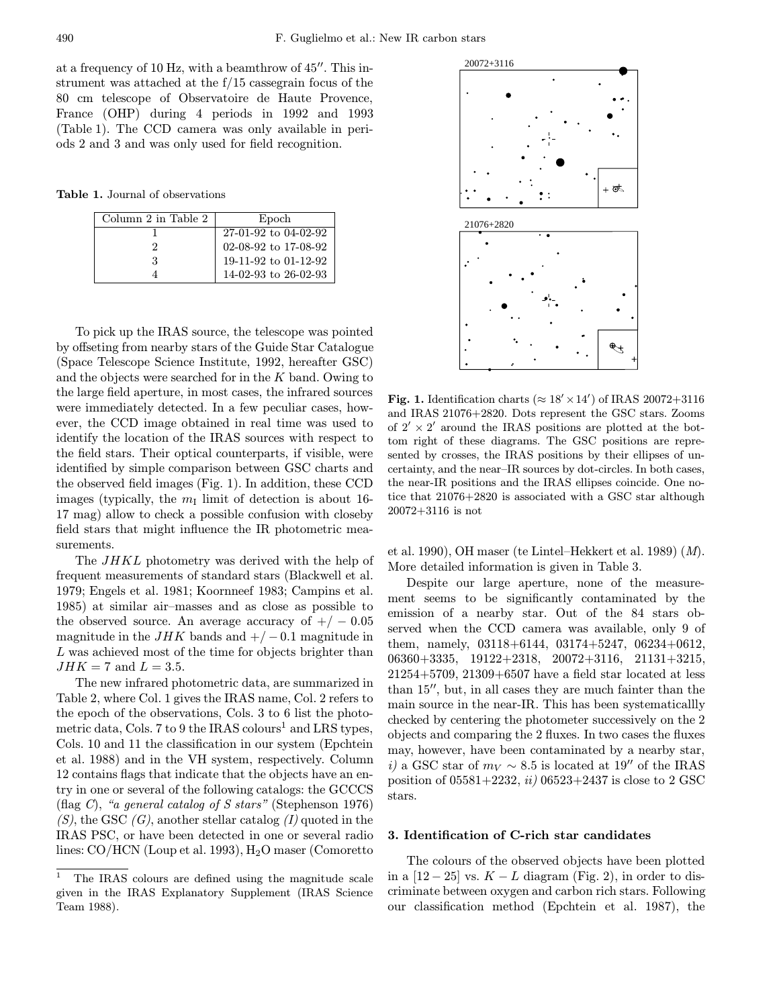at a frequency of 10 Hz, with a beamthrow of  $45^{\prime\prime}$ . This instrument was attached at the f/15 cassegrain focus of the 80 cm telescope of Observatoire de Haute Provence, France (OHP) during 4 periods in 1992 and 1993 (Table 1). The CCD camera was only available in periods 2 and 3 and was only used for field recognition.

Table 1. Journal of observations

| Column 2 in Table 2 | Epoch                |  |  |
|---------------------|----------------------|--|--|
|                     | 27-01-92 to 04-02-92 |  |  |
|                     | 02-08-92 to 17-08-92 |  |  |
| 3                   | 19-11-92 to 01-12-92 |  |  |
|                     | 14-02-93 to 26-02-93 |  |  |

To pick up the IRAS source, the telescope was pointed by offseting from nearby stars of the Guide Star Catalogue (Space Telescope Science Institute, 1992, hereafter GSC) and the objects were searched for in the  $K$  band. Owing to the large field aperture, in most cases, the infrared sources were immediately detected. In a few peculiar cases, however, the CCD image obtained in real time was used to identify the location of the IRAS sources with respect to the field stars. Their optical counterparts, if visible, were identified by simple comparison between GSC charts and the observed field images (Fig. 1). In addition, these CCD images (typically, the  $m<sub>I</sub>$  limit of detection is about 16-17 mag) allow to check a possible confusion with closeby field stars that might influence the IR photometric measurements.

The JHKL photometry was derived with the help of frequent measurements of standard stars (Blackwell et al. 1979; Engels et al. 1981; Koornneef 1983; Campins et al. 1985) at similar air–masses and as close as possible to the observed source. An average accuracy of  $+/-0.05$ magnitude in the  $JHK$  bands and  $+/-0.1$  magnitude in L was achieved most of the time for objects brighter than  $JHK = 7$  and  $L = 3.5$ .

The new infrared photometric data, are summarized in Table 2, where Col. 1 gives the IRAS name, Col. 2 refers to the epoch of the observations, Cols. 3 to 6 list the photometric data, Cols. 7 to 9 the IRAS colours<sup>1</sup> and LRS types, Cols. 10 and 11 the classification in our system (Epchtein et al. 1988) and in the VH system, respectively. Column 12 contains flags that indicate that the objects have an entry in one or several of the following catalogs: the GCCCS (flag C), "a general catalog of S stars" (Stephenson 1976)  $(S)$ , the GSC  $(G)$ , another stellar catalog  $(I)$  quoted in the IRAS PSC, or have been detected in one or several radio lines:  $CO/HCN$  (Loup et al. 1993),  $H<sub>2</sub>O$  maser (Comoretto



Fig. 1. Identification charts ( $\approx 18' \times 14'$ ) of IRAS 20072+3116 and IRAS 21076+2820. Dots represent the GSC stars. Zooms of  $2' \times 2'$  around the IRAS positions are plotted at the bottom right of these diagrams. The GSC positions are represented by crosses, the IRAS positions by their ellipses of uncertainty, and the near–IR sources by dot-circles. In both cases, the near-IR positions and the IRAS ellipses coincide. One notice that 21076+2820 is associated with a GSC star although 20072+3116 is not

et al. 1990), OH maser (te Lintel–Hekkert et al. 1989) (M). More detailed information is given in Table 3.

Despite our large aperture, none of the measurement seems to be significantly contaminated by the emission of a nearby star. Out of the 84 stars observed when the CCD camera was available, only 9 of them, namely, 03118+6144, 03174+5247, 06234+0612, 06360+3335, 19122+2318, 20072+3116, 21131+3215, 21254+5709, 21309+6507 have a field star located at less than  $15$ ", but, in all cases they are much fainter than the main source in the near-IR. This has been systematicallly checked by centering the photometer successively on the 2 objects and comparing the 2 fluxes. In two cases the fluxes may, however, have been contaminated by a nearby star, i) a GSC star of  $m_V \sim 8.5$  is located at 19'' of the IRAS position of  $05581+2232$ , *ii*)  $06523+2437$  is close to 2 GSC stars.

### 3. Identification of C-rich star candidates

The colours of the observed objects have been plotted in a  $[12-25]$  vs.  $K-L$  diagram (Fig. 2), in order to discriminate between oxygen and carbon rich stars. Following our classification method (Epchtein et al. 1987), the

<sup>&</sup>lt;sup>1</sup> The IRAS colours are defined using the magnitude scale given in the IRAS Explanatory Supplement (IRAS Science Team 1988).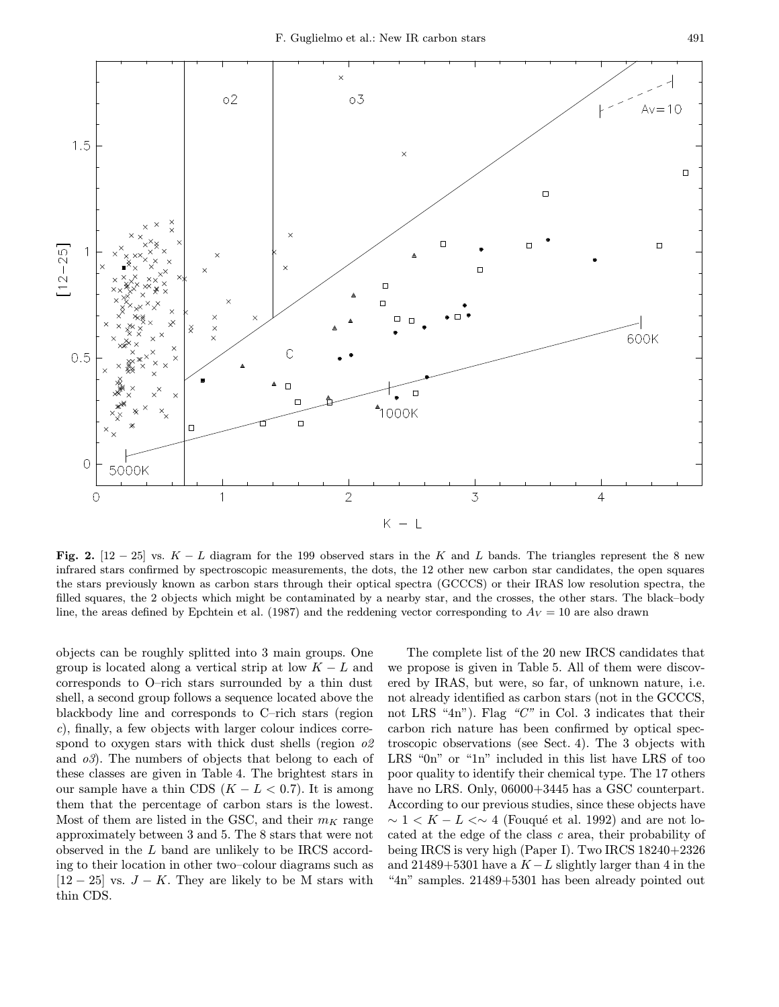

Fig. 2. [12 – 25] vs.  $K - L$  diagram for the 199 observed stars in the K and L bands. The triangles represent the 8 new infrared stars confirmed by spectroscopic measurements, the dots, the 12 other new carbon star candidates, the open squares the stars previously known as carbon stars through their optical spectra (GCCCS) or their IRAS low resolution spectra, the filled squares, the 2 objects which might be contaminated by a nearby star, and the crosses, the other stars. The black–body line, the areas defined by Epchtein et al. (1987) and the reddening vector corresponding to  $A_V = 10$  are also drawn

objects can be roughly splitted into 3 main groups. One group is located along a vertical strip at low  $K - L$  and corresponds to O–rich stars surrounded by a thin dust shell, a second group follows a sequence located above the blackbody line and corresponds to C–rich stars (region c), finally, a few objects with larger colour indices correspond to oxygen stars with thick dust shells (region  $\partial z$ ) and  $\sigma$ 3). The numbers of objects that belong to each of these classes are given in Table 4. The brightest stars in our sample have a thin CDS  $(K - L < 0.7)$ . It is among them that the percentage of carbon stars is the lowest. Most of them are listed in the GSC, and their  $m_K$  range approximately between 3 and 5. The 8 stars that were not observed in the L band are unlikely to be IRCS according to their location in other two–colour diagrams such as  $[12 - 25]$  vs.  $J - K$ . They are likely to be M stars with thin CDS.

The complete list of the 20 new IRCS candidates that we propose is given in Table 5. All of them were discovered by IRAS, but were, so far, of unknown nature, i.e. not already identified as carbon stars (not in the GCCCS, not LRS "4n"). Flag "C" in Col. 3 indicates that their carbon rich nature has been confirmed by optical spectroscopic observations (see Sect. 4). The 3 objects with LRS "0n" or "1n" included in this list have LRS of too poor quality to identify their chemical type. The 17 others have no LRS. Only,  $06000+3445$  has a GSC counterpart. According to our previous studies, since these objects have  $\sim 1 < K - L < \sim 4$  (Fouqué et al. 1992) and are not located at the edge of the class c area, their probability of being IRCS is very high (Paper I). Two IRCS 18240+2326 and 21489+5301 have a  $K - L$  slightly larger than 4 in the "4n" samples. 21489+5301 has been already pointed out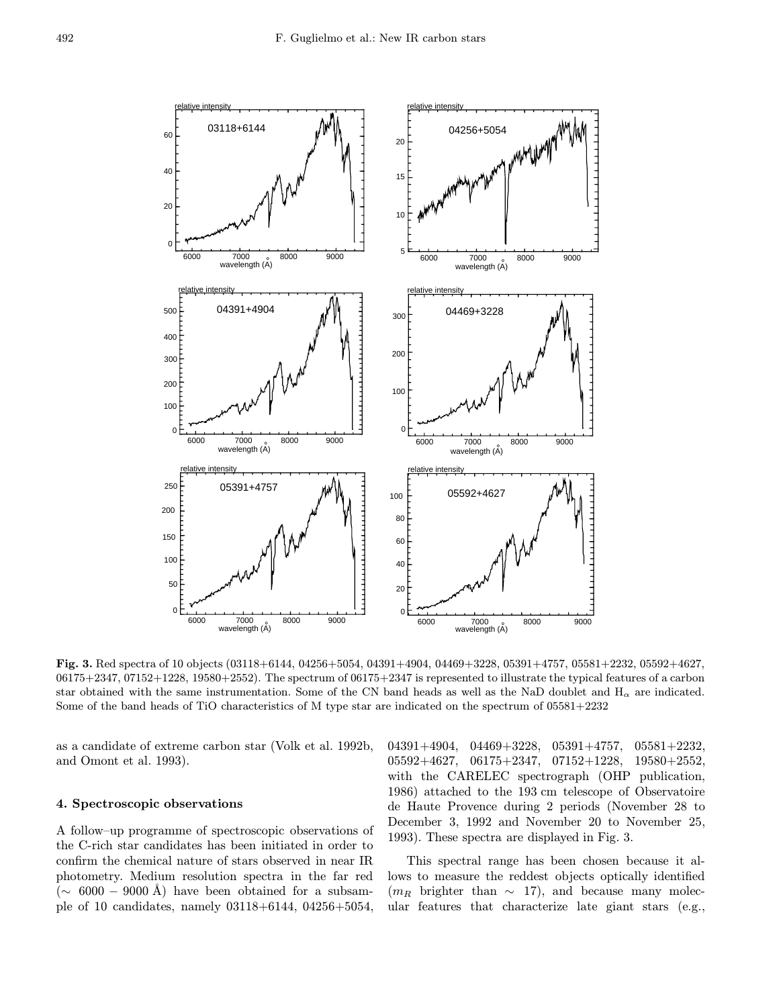

Fig. 3. Red spectra of 10 objects (03118+6144, 04256+5054, 04391+4904, 04469+3228, 05391+4757, 05581+2232, 05592+4627,  $06175+2347$ ,  $07152+1228$ ,  $19580+2552$ ). The spectrum of  $06175+2347$  is represented to illustrate the typical features of a carbon star obtained with the same instrumentation. Some of the CN band heads as well as the NaD doublet and  $H_{\alpha}$  are indicated. Some of the band heads of TiO characteristics of M type star are indicated on the spectrum of 05581+2232

as a candidate of extreme carbon star (Volk et al. 1992b, and Omont et al. 1993).

### 4. Spectroscopic observations

A follow–up programme of spectroscopic observations of the C-rich star candidates has been initiated in order to confirm the chemical nature of stars observed in near IR photometry. Medium resolution spectra in the far red  $({\sim 6000 - 9000 \text{ Å}})$  have been obtained for a subsample of 10 candidates, namely 03118+6144, 04256+5054, 04391+4904, 04469+3228, 05391+4757, 05581+2232, 05592+4627, 06175+2347, 07152+1228, 19580+2552, with the CARELEC spectrograph (OHP publication, 1986) attached to the 193 cm telescope of Observatoire de Haute Provence during 2 periods (November 28 to December 3, 1992 and November 20 to November 25, 1993). These spectra are displayed in Fig. 3.

This spectral range has been chosen because it allows to measure the reddest objects optically identified  $(m_R$  brighter than  $\sim$  17), and because many molecular features that characterize late giant stars (e.g.,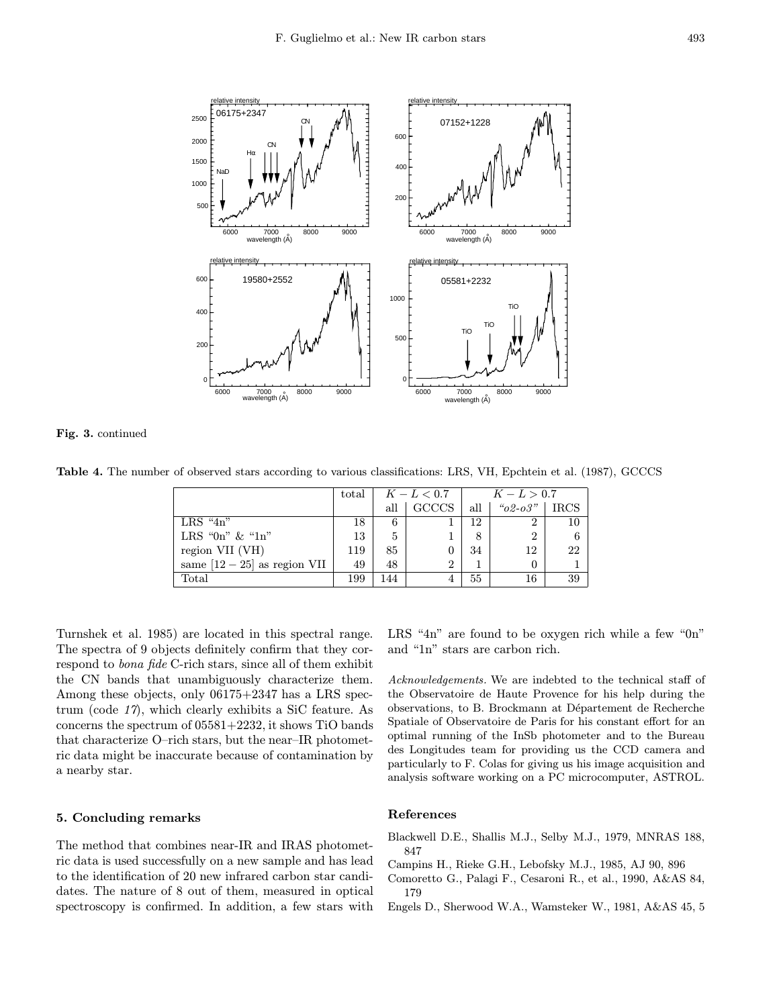

Fig. 3. continued

Table 4. The number of observed stars according to various classifications: LRS, VH, Epchtein et al. (1987), GCCCS

|                                | total | $K-L < 0.7$ |                | $K-L > 0.7$ |                |            |
|--------------------------------|-------|-------------|----------------|-------------|----------------|------------|
|                                |       | all         | <b>GCCCS</b>   | all         | $"o2-o3"$      | $\rm IRCS$ |
| $LRS$ "4n"                     | 18    | 6           |                | 12          | $\overline{2}$ | 10         |
| LRS "0n" $\&$ "1n"             | 13    | 5           |                | 8           | $\overline{2}$ | 6          |
| region VII (VH)                | 119   | 85          |                | 34          | 12             | 22         |
| same $[12 - 25]$ as region VII | 49    | 48          | $\overline{2}$ |             | 0              |            |
| Total                          | 199   | 144         |                | 55          | 16             | 39         |

Turnshek et al. 1985) are located in this spectral range. The spectra of 9 objects definitely confirm that they correspond to bona fide C-rich stars, since all of them exhibit the CN bands that unambiguously characterize them. Among these objects, only 06175+2347 has a LRS spectrum (code 17), which clearly exhibits a SiC feature. As concerns the spectrum of 05581+2232, it shows TiO bands that characterize O–rich stars, but the near–IR photometric data might be inaccurate because of contamination by a nearby star.

### 5. Concluding remarks

The method that combines near-IR and IRAS photometric data is used successfully on a new sample and has lead to the identification of 20 new infrared carbon star candidates. The nature of 8 out of them, measured in optical spectroscopy is confirmed. In addition, a few stars with LRS "4n" are found to be oxygen rich while a few "0n" and "1n" stars are carbon rich.

Acknowledgements. We are indebted to the technical staff of the Observatoire de Haute Provence for his help during the observations, to B. Brockmann at Département de Recherche Spatiale of Observatoire de Paris for his constant effort for an optimal running of the InSb photometer and to the Bureau des Longitudes team for providing us the CCD camera and particularly to F. Colas for giving us his image acquisition and analysis software working on a PC microcomputer, ASTROL.

#### References

- Blackwell D.E., Shallis M.J., Selby M.J., 1979, MNRAS 188, 847
- Campins H., Rieke G.H., Lebofsky M.J., 1985, AJ 90, 896
- Comoretto G., Palagi F., Cesaroni R., et al., 1990, A&AS 84, 179
- Engels D., Sherwood W.A., Wamsteker W., 1981, A&AS 45, 5